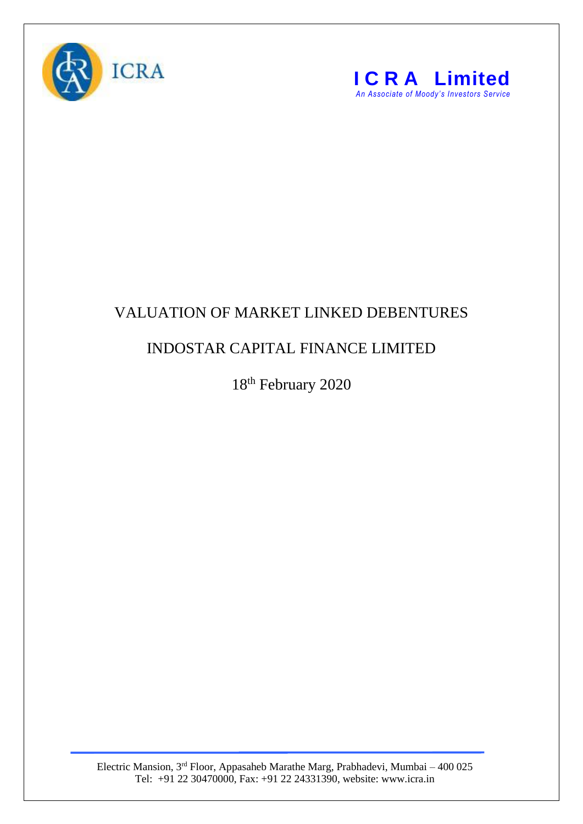



## VALUATION OF MARKET LINKED DEBENTURES

## INDOSTAR CAPITAL FINANCE LIMITED

18<sup>th</sup> February 2020

Electric Mansion, 3<sup>rd</sup> Floor, Appasaheb Marathe Marg, Prabhadevi, Mumbai – 400 025 Tel: +91 22 30470000, Fax: +91 22 24331390, website: www.icra.in